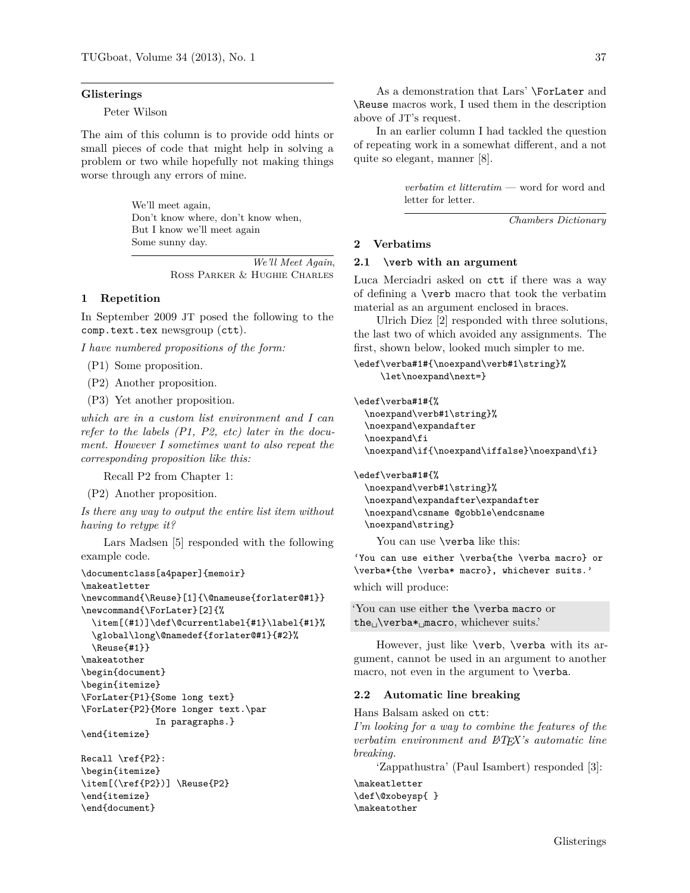#### **Glisterings**

Peter Wilson

The aim of this column is to provide odd hints or small pieces of code that might help in solving a problem or two while hopefully not making things worse through any errors of mine.

> We'll meet again, Don't know where, don't know when, But I know we'll meet again Some sunny day.

> > *We'll Meet Again*, Ross Parker & Hughie Charles

# **1 Repetition**

In September 2009 JT posed the following to the comp.text.tex newsgroup (ctt).

*I have numbered propositions of the form:*

- (P1) Some proposition.
- (P2) Another proposition.
- (P3) Yet another proposition.

*which are in a custom list environment and I can refer to the labels (P1, P2, etc) later in the document. However I sometimes want to also repeat the corresponding proposition like this:*

Recall P2 from Chapter 1:

(P2) Another proposition.

*Is there any way to output the entire list item without having to retype it?*

Lars Madsen [5] responded with the following example code.

```
\documentclass[a4paper]{memoir}
\makeatletter
\newcommand{\Reuse}[1]{\@nameuse{forlater@#1}}
\newcommand{\ForLater}[2]{%
  \item[(#1)]\def\@currentlabel{#1}\label{#1}%
  \global\long\@namedef{forlater@#1}{#2}%
  \Reuse{#1}}
\makeatother
\begin{document}
\begin{itemize}
\ForLater{P1}{Some long text}
\ForLater{P2}{More longer text.\par
              In paragraphs.}
\end{itemize}
```

```
Recall \ref{P2}:
\begin{itemize}
\item[(\ref{P2})] \Reuse{P2}
\end{itemize}
\end{document}
```
As a demonstration that Lars' \ForLater and \Reuse macros work, I used them in the description above of JT's request.

In an earlier column I had tackled the question of repeating work in a somewhat different, and a not quite so elegant, manner [8].

> *verbatim et litteratim* — word for word and letter for letter.

> > *Chambers Dictionary*

## **2 Verbatims**

### **2.1 \verb with an argument**

Luca Merciadri asked on ctt if there was a way of defining a \verb macro that took the verbatim material as an argument enclosed in braces.

Ulrich Diez [2] responded with three solutions, the last two of which avoided any assignments. The first, shown below, looked much simpler to me.

```
\edef\verba#1#{\noexpand\verb#1\string}%
    \let\noexpand\next=}
```
\edef\verba#1#{%

\noexpand\verb#1\string}% \noexpand\expandafter \noexpand\fi \noexpand\if{\noexpand\iffalse}\noexpand\fi}

\edef\verba#1#{% \noexpand\verb#1\string}% \noexpand\expandafter\expandafter \noexpand\csname @gobble\endcsname \noexpand\string}

You can use **\verba** like this:

'You can use either \verba{the \verba macro} or \verba\*{the \verba\* macro}, whichever suits.'

which will produce:

```
'You can use either the \verba macro or
the\Boxverba*\Boxmacro, whichever suits.'
```
However, just like \verb, \verba with its argument, cannot be used in an argument to another macro, not even in the argument to **\verba**.

## **2.2 Automatic line breaking**

Hans Balsam asked on ctt:

*I'm looking for a way to combine the features of the verbatim environment and LATEX's automatic line breaking.*

'Zappathustra' (Paul Isambert) responded [3]:

\makeatletter \def\@xobeysp{ } \makeatother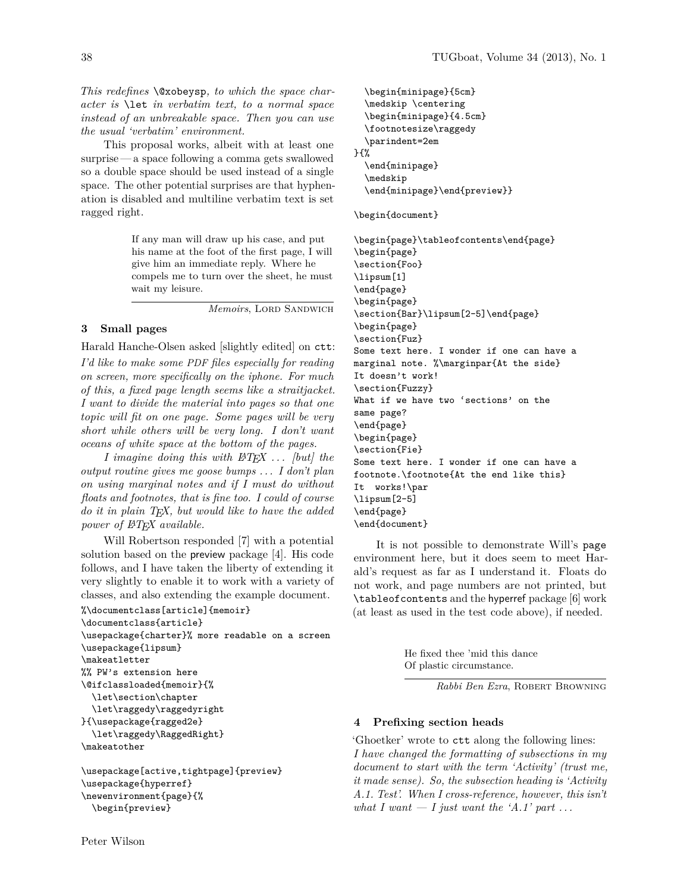*This redefines* \@xobeysp*, to which the space character is* \let *in verbatim text, to a normal space instead of an unbreakable space. Then you can use the usual 'verbatim' environment.*

This proposal works, albeit with at least one surprise — a space following a comma gets swallowed so a double space should be used instead of a single space. The other potential surprises are that hyphenation is disabled and multiline verbatim text is set ragged right.

> If any man will draw up his case, and put his name at the foot of the first page, I will give him an immediate reply. Where he compels me to turn over the sheet, he must wait my leisure.

> > *Memoirs*, LORD SANDWICH

## **3 Small pages**

Harald Hanche-Olsen asked [slightly edited] on ctt:

*I'd like to make some PDF files especially for reading on screen, more specifically on the iphone. For much of this, a fixed page length seems like a straitjacket. I want to divide the material into pages so that one topic will fit on one page. Some pages will be very short while others will be very long. I don't want oceans of white space at the bottom of the pages.*

*I imagine doing this with LATEX . . . [but] the output routine gives me goose bumps . . . I don't plan on using marginal notes and if I must do without floats and footnotes, that is fine too. I could of course do it in plain TEX, but would like to have the added power of LATEX available.*

Will Robertson responded [7] with a potential solution based on the preview package [4]. His code follows, and I have taken the liberty of extending it very slightly to enable it to work with a variety of classes, and also extending the example document.

```
%\documentclass[article]{memoir}
\documentclass{article}
\usepackage{charter}% more readable on a screen
\usepackage{lipsum}
\makeatletter
%% PW's extension here
\@ifclassloaded{memoir}{%
  \let\section\chapter
  \let\raggedy\raggedyright
}{\usepackage{ragged2e}
  \let\raggedy\RaggedRight}
\makeatother
```

```
\usepackage[active,tightpage]{preview}
\usepackage{hyperref}
\newenvironment{page}{%
  \begin{preview}
```

```
\begin{minipage}{5cm}
  \medskip \centering
  \begin{minipage}{4.5cm}
  \footnotesize\raggedy
  \parindent=2em
}{%
  \end{minipage}
  \medskip
  \end{minipage}\end{preview}}
```

```
\begin{document}
```
\begin{page}\tableofcontents\end{page} \begin{page} \section{Foo} \lipsum[1] \end{page} \begin{page} \section{Bar}\lipsum[2-5]\end{page} \begin{page} \section{Fuz} Some text here. I wonder if one can have a marginal note. %\marginpar{At the side} It doesn't work! \section{Fuzzy} What if we have two 'sections' on the same page? \end{page} \begin{page} \section{Fie} Some text here. I wonder if one can have a footnote.\footnote{At the end like this} It works!\par \lipsum[2-5] \end{page} \end{document}

It is not possible to demonstrate Will's page environment here, but it does seem to meet Harald's request as far as I understand it. Floats do not work, and page numbers are not printed, but \tableofcontents and the hyperref package [6] work (at least as used in the test code above), if needed.

> He fixed thee 'mid this dance Of plastic circumstance.

> > *Rabbi Ben Ezra*, Robert Browning

### **4 Prefixing section heads**

'Ghoetker' wrote to ctt along the following lines: *I have changed the formatting of subsections in my document to start with the term 'Activity' (trust me, it made sense). So, the subsection heading is 'Activity A.1. Test'. When I cross-reference, however, this isn't* what I want  $\overline{a}$  I just want the 'A.1' part ...